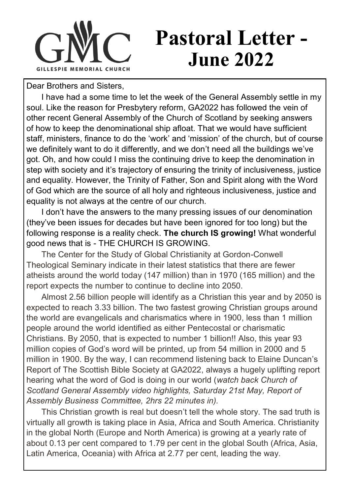

## **Pastoral Letter - June 2022**

Dear Brothers and Sisters,

I have had a some time to let the week of the General Assembly settle in my soul. Like the reason for Presbytery reform, GA2022 has followed the vein of other recent General Assembly of the Church of Scotland by seeking answers of how to keep the denominational ship afloat. That we would have sufficient staff, ministers, finance to do the 'work' and 'mission' of the church, but of course we definitely want to do it differently, and we don't need all the buildings we've got. Oh, and how could I miss the continuing drive to keep the denomination in step with society and it's trajectory of ensuring the trinity of inclusiveness, justice and equality. However, the Trinity of Father, Son and Spirit along with the Word of God which are the source of all holy and righteous inclusiveness, justice and equality is not always at the centre of our church.

I don't have the answers to the many pressing issues of our denomination (they've been issues for decades but have been ignored for too long) but the following response is a reality check. **The church IS growing!** What wonderful good news that is - THE CHURCH IS GROWING.

The Center for the Study of Global Christianity at Gordon-Conwell Theological Seminary indicate in their latest statistics that there are fewer atheists around the world today (147 million) than in 1970 (165 million) and the report expects the number to continue to decline into 2050.

Almost 2.56 billion people will identify as a Christian this year and by 2050 is expected to reach 3.33 billion. The two fastest growing Christian groups around the world are evangelicals and charismatics where in 1900, less than 1 million people around the world identified as either Pentecostal or charismatic Christians. By 2050, that is expected to number 1 billion!! Also, this year 93 million copies of God's word will be printed, up from 54 million in 2000 and 5 million in 1900. By the way, I can recommend listening back to Elaine Duncan's Report of The Scottish Bible Society at GA2022, always a hugely uplifting report hearing what the word of God is doing in our world (*watch back Church of Scotland General Assembly video highlights, Saturday 21st May, Report of Assembly Business Committee, 2hrs 22 minutes in).*

This Christian growth is real but doesn't tell the whole story. The sad truth is virtually all growth is taking place in Asia, Africa and South America. Christianity in the global North (Europe and North America) is growing at a yearly rate of about 0.13 per cent compared to 1.79 per cent in the global South (Africa, Asia, Latin America, Oceania) with Africa at 2.77 per cent, leading the way.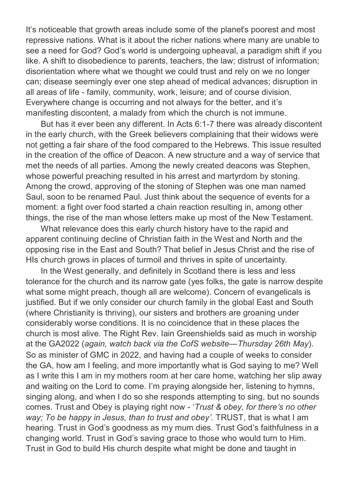It's noticeable that growth areas include some of the planet's poorest and most repressive nations. What is it about the richer nations where many are unable to see a need for God? God's world is undergoing upheaval, a paradigm shift if you like. A shift to disobedience to parents, teachers, the law; distrust of information; disorientation where what we thought we could trust and rely on we no longer can; disease seemingly ever one step ahead of medical advances; disruption in all areas of life - family, community, work, leisure; and of course division. Everywhere change is occurring and not always for the better, and it's manifesting discontent, a malady from which the church is not immune.

But has it ever been any different. In Acts 6:1-7 there was already discontent in the early church, with the Greek believers complaining that their widows were not getting a fair share of the food compared to the Hebrews. This issue resulted in the creation of the office of Deacon. A new structure and a way of service that met the needs of all parties. Among the newly created deacons was Stephen, whose powerful preaching resulted in his arrest and martyrdom by stoning. Among the crowd, approving of the stoning of Stephen was one man named Saul, soon to be renamed Paul. Just think about the sequence of events for a moment: a fight over food started a chain reaction resulting in, among other things, the rise of the man whose letters make up most of the New Testament.

What relevance does this early church history have to the rapid and apparent continuing decline of Christian faith in the West and North and the opposing rise in the East and South? That belief in Jesus Christ and the rise of HIs church grows in places of turmoil and thrives in spite of uncertainty.

In the West generally, and definitely in Scotland there is less and less tolerance for the church and its narrow gate (yes folks, the gate is narrow despite what some might preach, though all are welcome). Concern of evangelicals is justified. But if we only consider our church family in the global East and South (where Christianity is thriving), our sisters and brothers are groaning under considerably worse conditions. It is no coincidence that in these places the church is most alive. The Right Rev. Iain Greenshields said as much in worship at the GA2022 (*again, watch back via the CofS website—Thursday 26th May*). So as minister of GMC in 2022, and having had a couple of weeks to consider the GA, how am I feeling, and more importantly what is God saying to me? Well as I write this I am in my mothers room at her care home, watching her slip away and waiting on the Lord to come. I'm praying alongside her, listening to hymns, singing along, and when I do so she responds attempting to sing, but no sounds comes. Trust and Obey is playing right now - '*Trust & obey, for there's no other way; To be happy in Jesus, than to trust and obey'.* TRUST, that is what I am hearing. Trust in God's goodness as my mum dies. Trust God's faithfulness in a changing world. Trust in God's saving grace to those who would turn to Him. Trust in God to build His church despite what might be done and taught in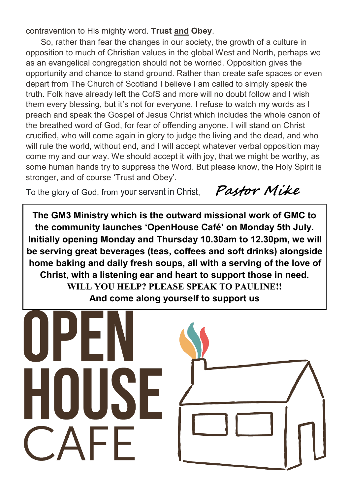contravention to His mighty word. **Trust and Obey**.

So, rather than fear the changes in our society, the growth of a culture in opposition to much of Christian values in the global West and North, perhaps we as an evangelical congregation should not be worried. Opposition gives the opportunity and chance to stand ground. Rather than create safe spaces or even depart from The Church of Scotland I believe I am called to simply speak the truth. Folk have already left the CofS and more will no doubt follow and I wish them every blessing, but it's not for everyone. I refuse to watch my words as I preach and speak the Gospel of Jesus Christ which includes the whole canon of the breathed word of God, for fear of offending anyone. I will stand on Christ crucified, who will come again in glory to judge the living and the dead, and who will rule the world, without end, and I will accept whatever verbal opposition may come my and our way. We should accept it with joy, that we might be worthy, as some human hands try to suppress the Word. But please know, the Holy Spirit is stronger, and of course 'Trust and Obey'.

To the glory of God, from your servant in Christ, **Pastor Mike** 

**The GM3 Ministry which is the outward missional work of GMC to the community launches 'OpenHouse Café' on Monday 5th July. Initially opening Monday and Thursday 10.30am to 12.30pm, we will be serving great beverages (teas, coffees and soft drinks) alongside home baking and daily fresh soups, all with a serving of the love of Christ, with a listening ear and heart to support those in need. WILL YOU HELP? PLEASE SPEAK TO PAULINE!! And come along yourself to support us**